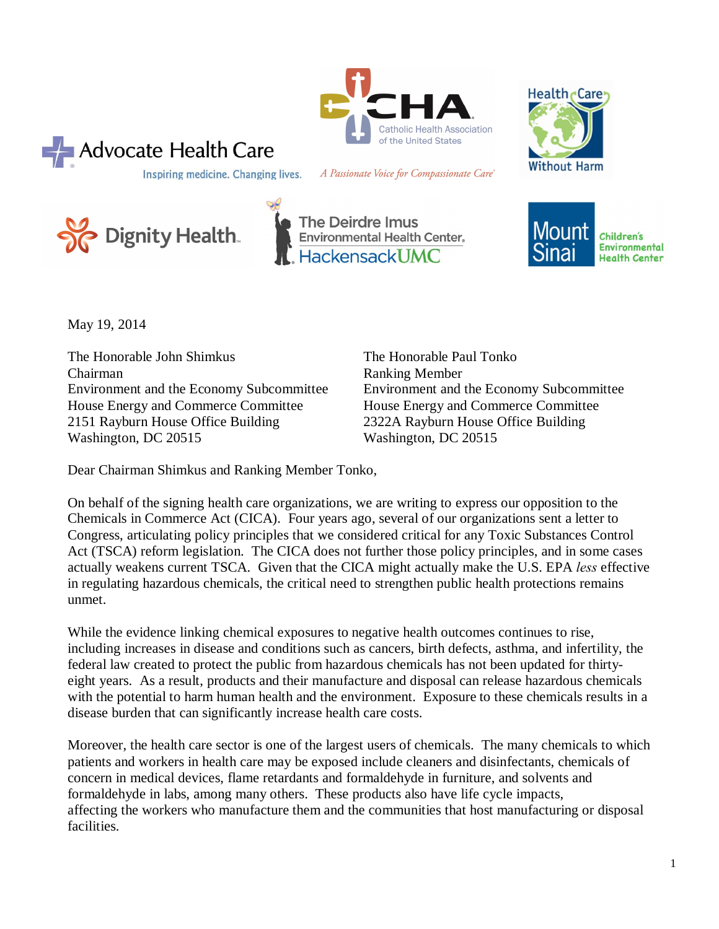



Inspiring medicine. Changing lives. A Passionate Voice for Compassionate Care®



 $\rightarrow$  Advocate Health Care





May 19, 2014

The Honorable John Shimkus The Honorable Paul Tonko Chairman Ranking Member Environment and the Economy Subcommittee Environment and the Economy Subcommittee House Energy and Commerce Committee House Energy and Commerce Committee 2151 Rayburn House Office Building 2322A Rayburn House Office Building Washington, DC 20515 Washington, DC 20515

Dear Chairman Shimkus and Ranking Member Tonko,

On behalf of the signing health care organizations, we are writing to express our opposition to the Chemicals in Commerce Act (CICA). Four years ago, several of our organizations sent a letter to Congress, articulating policy principles that we considered critical for any Toxic Substances Control Act (TSCA) reform legislation. The CICA does not further those policy principles, and in some cases actually weakens current TSCA. Given that the CICA might actually make the U.S. EPA *less* effective in regulating hazardous chemicals, the critical need to strengthen public health protections remains unmet.

While the evidence linking chemical exposures to negative health outcomes continues to rise, including increases in disease and conditions such as cancers, birth defects, asthma, and infertility, the federal law created to protect the public from hazardous chemicals has not been updated for thirtyeight years. As a result, products and their manufacture and disposal can release hazardous chemicals with the potential to harm human health and the environment. Exposure to these chemicals results in a disease burden that can significantly increase health care costs.

Moreover, the health care sector is one of the largest users of chemicals. The many chemicals to which patients and workers in health care may be exposed include cleaners and disinfectants, chemicals of concern in medical devices, flame retardants and formaldehyde in furniture, and solvents and formaldehyde in labs, among many others. These products also have life cycle impacts, affecting the workers who manufacture them and the communities that host manufacturing or disposal facilities.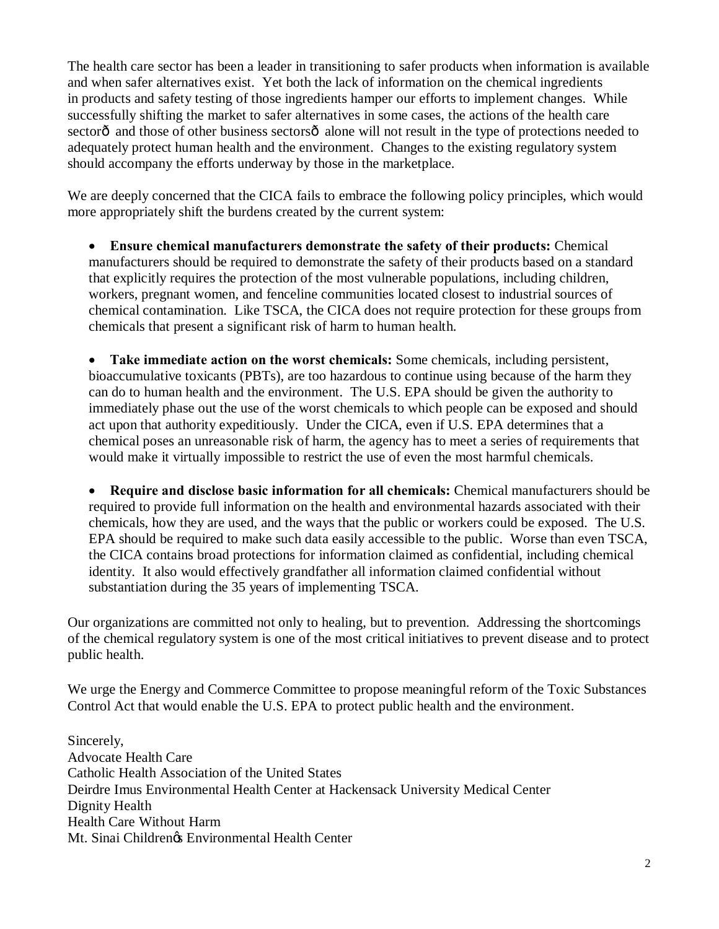The health care sector has been a leader in transitioning to safer products when information is available and when safer alternatives exist. Yet both the lack of information on the chemical ingredients in products and safety testing of those ingredients hamper our efforts to implement changes. While successfully shifting the market to safer alternatives in some cases, the actions of the health care sectorô and those of other business sectorsô alone will not result in the type of protections needed to adequately protect human health and the environment. Changes to the existing regulatory system should accompany the efforts underway by those in the marketplace.

We are deeply concerned that the CICA fails to embrace the following policy principles, which would more appropriately shift the burdens created by the current system:

· **Ensure chemical manufacturers demonstrate the safety of their products:** Chemical manufacturers should be required to demonstrate the safety of their products based on a standard that explicitly requires the protection of the most vulnerable populations, including children, workers, pregnant women, and fenceline communities located closest to industrial sources of chemical contamination. Like TSCA, the CICA does not require protection for these groups from chemicals that present a significant risk of harm to human health.

· **Take immediate action on the worst chemicals:** Some chemicals, including persistent, bioaccumulative toxicants (PBTs), are too hazardous to continue using because of the harm they can do to human health and the environment. The U.S. EPA should be given the authority to immediately phase out the use of the worst chemicals to which people can be exposed and should act upon that authority expeditiously. Under the CICA, even if U.S. EPA determines that a chemical poses an unreasonable risk of harm, the agency has to meet a series of requirements that would make it virtually impossible to restrict the use of even the most harmful chemicals.

· **Require and disclose basic information for all chemicals:** Chemical manufacturers should be required to provide full information on the health and environmental hazards associated with their chemicals, how they are used, and the ways that the public or workers could be exposed. The U.S. EPA should be required to make such data easily accessible to the public. Worse than even TSCA, the CICA contains broad protections for information claimed as confidential, including chemical identity. It also would effectively grandfather all information claimed confidential without substantiation during the 35 years of implementing TSCA.

Our organizations are committed not only to healing, but to prevention. Addressing the shortcomings of the chemical regulatory system is one of the most critical initiatives to prevent disease and to protect public health.

We urge the Energy and Commerce Committee to propose meaningful reform of the Toxic Substances Control Act that would enable the U.S. EPA to protect public health and the environment.

Sincerely, Advocate Health Care Catholic Health Association of the United States Deirdre Imus Environmental Health Center at Hackensack University Medical Center Dignity Health Health Care Without Harm Mt. Sinai Children $\alpha$  Environmental Health Center